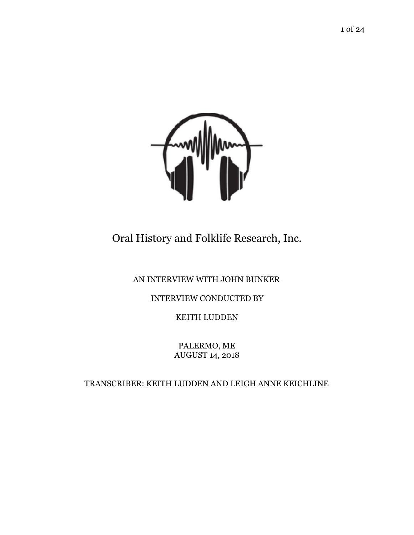

Oral History and Folklife Research, Inc.

## AN INTERVIEW WITH JOHN BUNKER

## INTERVIEW CONDUCTED BY

KEITH LUDDEN

PALERMO, ME AUGUST 14, 2018

TRANSCRIBER: KEITH LUDDEN AND LEIGH ANNE KEICHLINE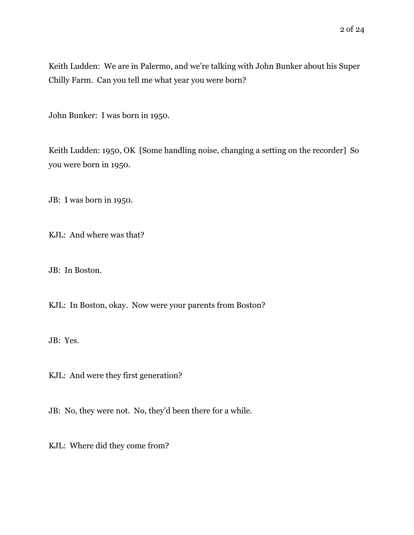Keith Ludden: We are in Palermo, and we're talking with John Bunker about his Super Chilly Farm. Can you tell me what year you were born?

John Bunker: I was born in 1950.

Keith Ludden: 1950, OK [Some handling noise, changing a setting on the recorder] So you were born in 1950.

JB: I was born in 1950.

KJL: And where was that?

JB: In Boston.

KJL: In Boston, okay. Now were your parents from Boston?

JB: Yes.

KJL: And were they first generation?

JB: No, they were not. No, they'd been there for a while.

KJL: Where did they come from?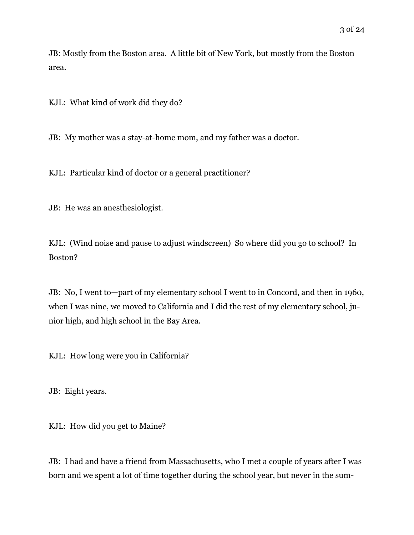KJL: What kind of work did they do?

JB: My mother was a stay-at-home mom, and my father was a doctor.

KJL: Particular kind of doctor or a general practitioner?

JB: He was an anesthesiologist.

KJL: (Wind noise and pause to adjust windscreen) So where did you go to school? In Boston?

JB: No, I went to—part of my elementary school I went to in Concord, and then in 1960, when I was nine, we moved to California and I did the rest of my elementary school, junior high, and high school in the Bay Area.

KJL: How long were you in California?

JB: Eight years.

KJL: How did you get to Maine?

JB: I had and have a friend from Massachusetts, who I met a couple of years after I was born and we spent a lot of time together during the school year, but never in the sum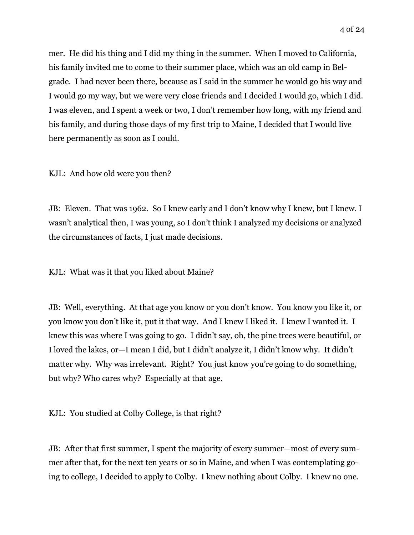mer. He did his thing and I did my thing in the summer. When I moved to California, his family invited me to come to their summer place, which was an old camp in Belgrade. I had never been there, because as I said in the summer he would go his way and I would go my way, but we were very close friends and I decided I would go, which I did. I was eleven, and I spent a week or two, I don't remember how long, with my friend and his family, and during those days of my first trip to Maine, I decided that I would live

here permanently as soon as I could.

KJL: And how old were you then?

JB: Eleven. That was 1962. So I knew early and I don't know why I knew, but I knew. I wasn't analytical then, I was young, so I don't think I analyzed my decisions or analyzed the circumstances of facts, I just made decisions.

KJL: What was it that you liked about Maine?

JB: Well, everything. At that age you know or you don't know. You know you like it, or you know you don't like it, put it that way. And I knew I liked it. I knew I wanted it. I knew this was where I was going to go. I didn't say, oh, the pine trees were beautiful, or I loved the lakes, or—I mean I did, but I didn't analyze it, I didn't know why. It didn't matter why. Why was irrelevant. Right? You just know you're going to do something, but why? Who cares why? Especially at that age.

KJL: You studied at Colby College, is that right?

JB: After that first summer, I spent the majority of every summer—most of every summer after that, for the next ten years or so in Maine, and when I was contemplating going to college, I decided to apply to Colby. I knew nothing about Colby. I knew no one.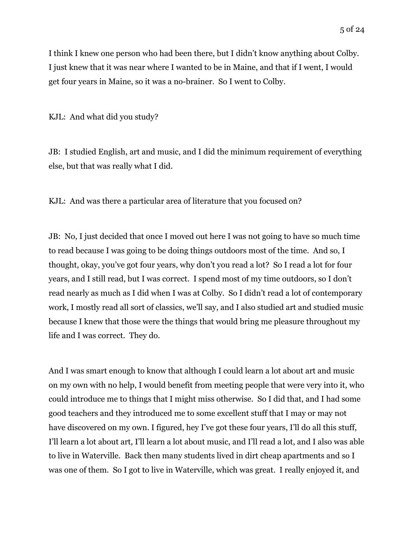I think I knew one person who had been there, but I didn't know anything about Colby. I just knew that it was near where I wanted to be in Maine, and that if I went, I would get four years in Maine, so it was a no-brainer. So I went to Colby.

KJL: And what did you study?

JB: I studied English, art and music, and I did the minimum requirement of everything else, but that was really what I did.

KJL: And was there a particular area of literature that you focused on?

JB: No, I just decided that once I moved out here I was not going to have so much time to read because I was going to be doing things outdoors most of the time. And so, I thought, okay, you've got four years, why don't you read a lot? So I read a lot for four years, and I still read, but I was correct. I spend most of my time outdoors, so I don't read nearly as much as I did when I was at Colby. So I didn't read a lot of contemporary work, I mostly read all sort of classics, we'll say, and I also studied art and studied music because I knew that those were the things that would bring me pleasure throughout my life and I was correct. They do.

And I was smart enough to know that although I could learn a lot about art and music on my own with no help, I would benefit from meeting people that were very into it, who could introduce me to things that I might miss otherwise. So I did that, and I had some good teachers and they introduced me to some excellent stuff that I may or may not have discovered on my own. I figured, hey I've got these four years, I'll do all this stuff, I'll learn a lot about art, I'll learn a lot about music, and I'll read a lot, and I also was able to live in Waterville. Back then many students lived in dirt cheap apartments and so I was one of them. So I got to live in Waterville, which was great. I really enjoyed it, and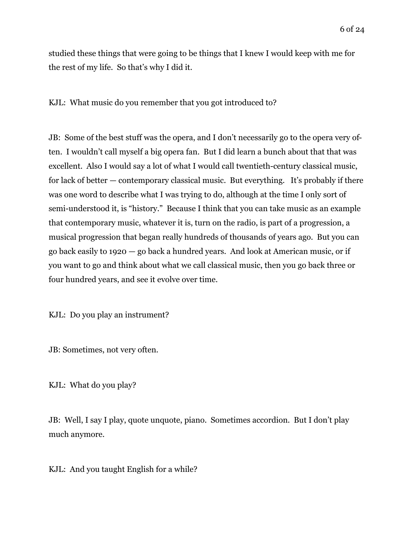studied these things that were going to be things that I knew I would keep with me for the rest of my life. So that's why I did it.

KJL: What music do you remember that you got introduced to?

JB: Some of the best stuff was the opera, and I don't necessarily go to the opera very often. I wouldn't call myself a big opera fan. But I did learn a bunch about that that was excellent. Also I would say a lot of what I would call twentieth-century classical music, for lack of better — contemporary classical music. But everything. It's probably if there was one word to describe what I was trying to do, although at the time I only sort of semi-understood it, is "history." Because I think that you can take music as an example that contemporary music, whatever it is, turn on the radio, is part of a progression, a musical progression that began really hundreds of thousands of years ago. But you can go back easily to 1920 — go back a hundred years. And look at American music, or if you want to go and think about what we call classical music, then you go back three or four hundred years, and see it evolve over time.

KJL: Do you play an instrument?

JB: Sometimes, not very often.

KJL: What do you play?

JB: Well, I say I play, quote unquote, piano. Sometimes accordion. But I don't play much anymore.

KJL: And you taught English for a while?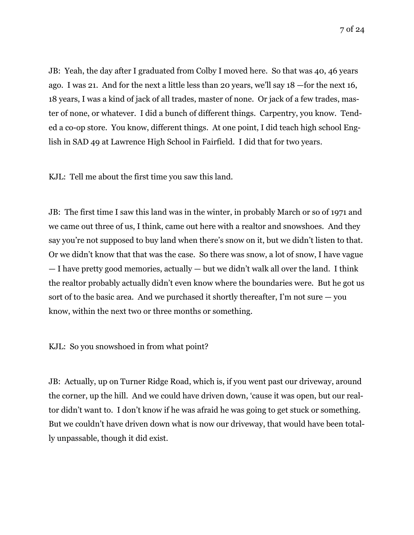JB: Yeah, the day after I graduated from Colby I moved here. So that was 40, 46 years ago. I was 21. And for the next a little less than 20 years, we'll say 18 —for the next 16, 18 years, I was a kind of jack of all trades, master of none. Or jack of a few trades, master of none, or whatever. I did a bunch of different things. Carpentry, you know. Tended a co-op store. You know, different things. At one point, I did teach high school English in SAD 49 at Lawrence High School in Fairfield. I did that for two years.

KJL: Tell me about the first time you saw this land.

JB: The first time I saw this land was in the winter, in probably March or so of 1971 and we came out three of us, I think, came out here with a realtor and snowshoes. And they say you're not supposed to buy land when there's snow on it, but we didn't listen to that. Or we didn't know that that was the case. So there was snow, a lot of snow, I have vague — I have pretty good memories, actually — but we didn't walk all over the land. I think the realtor probably actually didn't even know where the boundaries were. But he got us sort of to the basic area. And we purchased it shortly thereafter, I'm not sure  $-$  you know, within the next two or three months or something.

KJL: So you snowshoed in from what point?

JB: Actually, up on Turner Ridge Road, which is, if you went past our driveway, around the corner, up the hill. And we could have driven down, 'cause it was open, but our realtor didn't want to. I don't know if he was afraid he was going to get stuck or something. But we couldn't have driven down what is now our driveway, that would have been totally unpassable, though it did exist.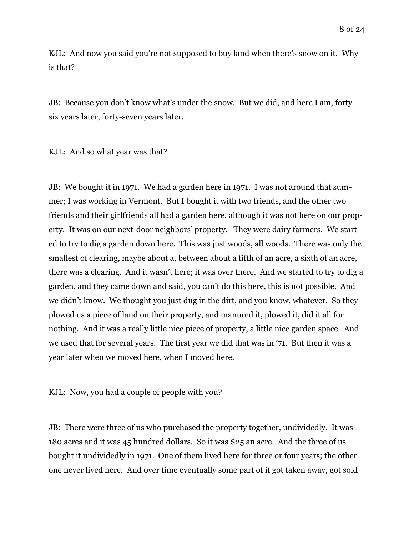KJL: And now you said you're not supposed to buy land when there's snow on it. Why is that?

JB: Because you don't know what's under the snow. But we did, and here I am, fortysix years later, forty-seven years later.

KJL: And so what year was that?

JB: We bought it in 1971. We had a garden here in 1971. I was not around that summer; I was working in Vermont. But I bought it with two friends, and the other two friends and their girlfriends all had a garden here, although it was not here on our property. It was on our next-door neighbors' property. They were dairy farmers. We started to try to dig a garden down here. This was just woods, all woods. There was only the smallest of clearing, maybe about a, between about a fifth of an acre, a sixth of an acre, there was a clearing. And it wasn't here; it was over there. And we started to try to dig a garden, and they came down and said, you can't do this here, this is not possible. And we didn't know. We thought you just dug in the dirt, and you know, whatever. So they plowed us a piece of land on their property, and manured it, plowed it, did it all for nothing. And it was a really little nice piece of property, a little nice garden space. And we used that for several years. The first year we did that was in '71. But then it was a year later when we moved here, when I moved here.

KJL: Now, you had a couple of people with you?

JB: There were three of us who purchased the property together, undividedly. It was 180 acres and it was 45 hundred dollars. So it was \$25 an acre. And the three of us bought it undividedly in 1971. One of them lived here for three or four years; the other one never lived here. And over time eventually some part of it got taken away, got sold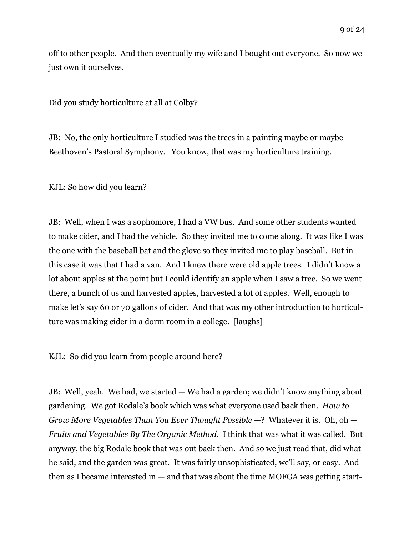off to other people. And then eventually my wife and I bought out everyone. So now we just own it ourselves.

Did you study horticulture at all at Colby?

JB: No, the only horticulture I studied was the trees in a painting maybe or maybe Beethoven's Pastoral Symphony. You know, that was my horticulture training.

KJL: So how did you learn?

JB: Well, when I was a sophomore, I had a VW bus. And some other students wanted to make cider, and I had the vehicle. So they invited me to come along. It was like I was the one with the baseball bat and the glove so they invited me to play baseball. But in this case it was that I had a van. And I knew there were old apple trees. I didn't know a lot about apples at the point but I could identify an apple when I saw a tree. So we went there, a bunch of us and harvested apples, harvested a lot of apples. Well, enough to make let's say 60 or 70 gallons of cider. And that was my other introduction to horticulture was making cider in a dorm room in a college. [laughs]

KJL: So did you learn from people around here?

JB: Well, yeah. We had, we started — We had a garden; we didn't know anything about gardening. We got Rodale's book which was what everyone used back then. *How to Grow More Vegetables Than You Ever Thought Possible* —? Whatever it is. Oh, oh — *Fruits and Vegetables By The Organic Method*. I think that was what it was called. But anyway, the big Rodale book that was out back then. And so we just read that, did what he said, and the garden was great. It was fairly unsophisticated, we'll say, or easy. And then as I became interested in  $-$  and that was about the time MOFGA was getting start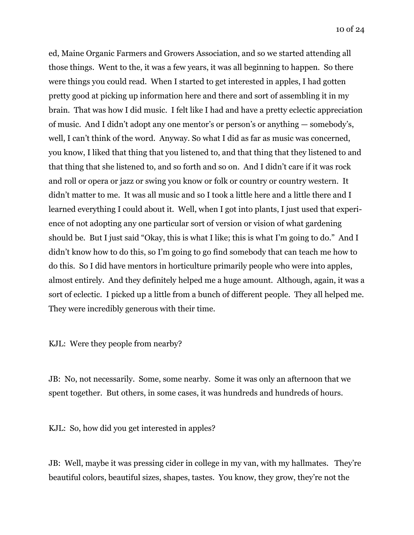ed, Maine Organic Farmers and Growers Association, and so we started attending all those things. Went to the, it was a few years, it was all beginning to happen. So there were things you could read. When I started to get interested in apples, I had gotten pretty good at picking up information here and there and sort of assembling it in my brain. That was how I did music. I felt like I had and have a pretty eclectic appreciation of music. And I didn't adopt any one mentor's or person's or anything — somebody's, well, I can't think of the word. Anyway. So what I did as far as music was concerned, you know, I liked that thing that you listened to, and that thing that they listened to and that thing that she listened to, and so forth and so on. And I didn't care if it was rock and roll or opera or jazz or swing you know or folk or country or country western. It didn't matter to me. It was all music and so I took a little here and a little there and I learned everything I could about it. Well, when I got into plants, I just used that experience of not adopting any one particular sort of version or vision of what gardening should be. But I just said "Okay, this is what I like; this is what I'm going to do." And I didn't know how to do this, so I'm going to go find somebody that can teach me how to do this. So I did have mentors in horticulture primarily people who were into apples, almost entirely. And they definitely helped me a huge amount. Although, again, it was a sort of eclectic. I picked up a little from a bunch of different people. They all helped me. They were incredibly generous with their time.

KJL: Were they people from nearby?

JB: No, not necessarily. Some, some nearby. Some it was only an afternoon that we spent together. But others, in some cases, it was hundreds and hundreds of hours.

KJL: So, how did you get interested in apples?

JB: Well, maybe it was pressing cider in college in my van, with my hallmates. They're beautiful colors, beautiful sizes, shapes, tastes. You know, they grow, they're not the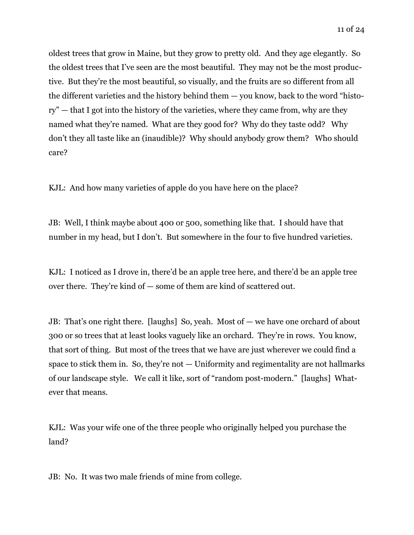oldest trees that grow in Maine, but they grow to pretty old. And they age elegantly. So the oldest trees that I've seen are the most beautiful. They may not be the most productive. But they're the most beautiful, so visually, and the fruits are so different from all the different varieties and the history behind them — you know, back to the word "history" — that I got into the history of the varieties, where they came from, why are they named what they're named. What are they good for? Why do they taste odd? Why don't they all taste like an (inaudible)? Why should anybody grow them? Who should care?

KJL: And how many varieties of apple do you have here on the place?

JB: Well, I think maybe about 400 or 500, something like that. I should have that number in my head, but I don't. But somewhere in the four to five hundred varieties.

KJL: I noticed as I drove in, there'd be an apple tree here, and there'd be an apple tree over there. They're kind of — some of them are kind of scattered out.

JB: That's one right there. [laughs] So, yeah. Most of — we have one orchard of about 300 or so trees that at least looks vaguely like an orchard. They're in rows. You know, that sort of thing. But most of the trees that we have are just wherever we could find a space to stick them in. So, they're not — Uniformity and regimentality are not hallmarks of our landscape style. We call it like, sort of "random post-modern." [laughs] Whatever that means.

KJL: Was your wife one of the three people who originally helped you purchase the land?

JB: No. It was two male friends of mine from college.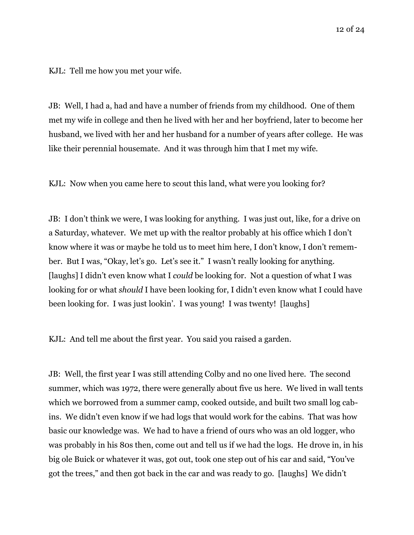KJL: Tell me how you met your wife.

JB: Well, I had a, had and have a number of friends from my childhood. One of them met my wife in college and then he lived with her and her boyfriend, later to become her husband, we lived with her and her husband for a number of years after college. He was like their perennial housemate. And it was through him that I met my wife.

KJL: Now when you came here to scout this land, what were you looking for?

JB: I don't think we were, I was looking for anything. I was just out, like, for a drive on a Saturday, whatever. We met up with the realtor probably at his office which I don't know where it was or maybe he told us to meet him here, I don't know, I don't remember. But I was, "Okay, let's go. Let's see it." I wasn't really looking for anything. [laughs] I didn't even know what I *could* be looking for. Not a question of what I was looking for or what *should* I have been looking for, I didn't even know what I could have been looking for. I was just lookin'. I was young! I was twenty! [laughs]

KJL: And tell me about the first year. You said you raised a garden.

JB: Well, the first year I was still attending Colby and no one lived here. The second summer, which was 1972, there were generally about five us here. We lived in wall tents which we borrowed from a summer camp, cooked outside, and built two small log cabins. We didn't even know if we had logs that would work for the cabins. That was how basic our knowledge was. We had to have a friend of ours who was an old logger, who was probably in his 80s then, come out and tell us if we had the logs. He drove in, in his big ole Buick or whatever it was, got out, took one step out of his car and said, "You've got the trees," and then got back in the car and was ready to go. [laughs] We didn't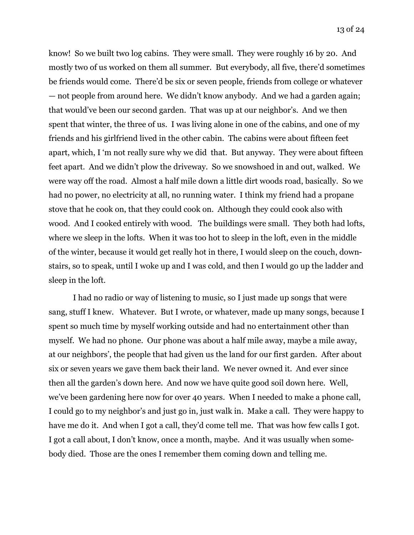know! So we built two log cabins. They were small. They were roughly 16 by 20. And mostly two of us worked on them all summer. But everybody, all five, there'd sometimes be friends would come. There'd be six or seven people, friends from college or whatever — not people from around here. We didn't know anybody. And we had a garden again; that would've been our second garden. That was up at our neighbor's. And we then spent that winter, the three of us. I was living alone in one of the cabins, and one of my friends and his girlfriend lived in the other cabin. The cabins were about fifteen feet apart, which, I 'm not really sure why we did that. But anyway. They were about fifteen feet apart. And we didn't plow the driveway. So we snowshoed in and out, walked. We were way off the road. Almost a half mile down a little dirt woods road, basically. So we had no power, no electricity at all, no running water. I think my friend had a propane stove that he cook on, that they could cook on. Although they could cook also with wood. And I cooked entirely with wood. The buildings were small. They both had lofts, where we sleep in the lofts. When it was too hot to sleep in the loft, even in the middle of the winter, because it would get really hot in there, I would sleep on the couch, downstairs, so to speak, until I woke up and I was cold, and then I would go up the ladder and sleep in the loft.

 I had no radio or way of listening to music, so I just made up songs that were sang, stuff I knew. Whatever. But I wrote, or whatever, made up many songs, because I spent so much time by myself working outside and had no entertainment other than myself. We had no phone. Our phone was about a half mile away, maybe a mile away, at our neighbors', the people that had given us the land for our first garden. After about six or seven years we gave them back their land. We never owned it. And ever since then all the garden's down here. And now we have quite good soil down here. Well, we've been gardening here now for over 40 years. When I needed to make a phone call, I could go to my neighbor's and just go in, just walk in. Make a call. They were happy to have me do it. And when I got a call, they'd come tell me. That was how few calls I got. I got a call about, I don't know, once a month, maybe. And it was usually when somebody died. Those are the ones I remember them coming down and telling me.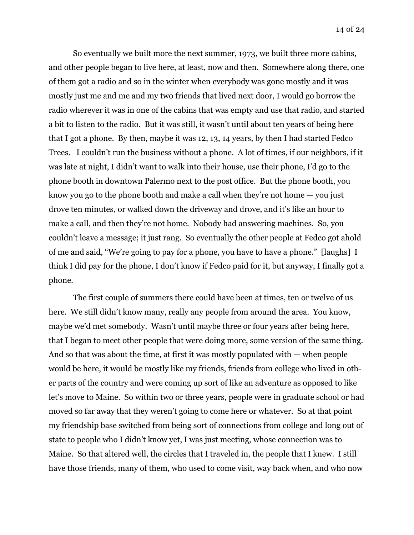So eventually we built more the next summer, 1973, we built three more cabins, and other people began to live here, at least, now and then. Somewhere along there, one of them got a radio and so in the winter when everybody was gone mostly and it was mostly just me and me and my two friends that lived next door, I would go borrow the radio wherever it was in one of the cabins that was empty and use that radio, and started a bit to listen to the radio. But it was still, it wasn't until about ten years of being here that I got a phone. By then, maybe it was 12, 13, 14 years, by then I had started Fedco Trees. I couldn't run the business without a phone. A lot of times, if our neighbors, if it was late at night, I didn't want to walk into their house, use their phone, I'd go to the phone booth in downtown Palermo next to the post office. But the phone booth, you know you go to the phone booth and make a call when they're not home — you just drove ten minutes, or walked down the driveway and drove, and it's like an hour to make a call, and then they're not home. Nobody had answering machines. So, you couldn't leave a message; it just rang. So eventually the other people at Fedco got ahold of me and said, "We're going to pay for a phone, you have to have a phone." [laughs] I think I did pay for the phone, I don't know if Fedco paid for it, but anyway, I finally got a phone.

 The first couple of summers there could have been at times, ten or twelve of us here. We still didn't know many, really any people from around the area. You know, maybe we'd met somebody. Wasn't until maybe three or four years after being here, that I began to meet other people that were doing more, some version of the same thing. And so that was about the time, at first it was mostly populated with — when people would be here, it would be mostly like my friends, friends from college who lived in other parts of the country and were coming up sort of like an adventure as opposed to like let's move to Maine. So within two or three years, people were in graduate school or had moved so far away that they weren't going to come here or whatever. So at that point my friendship base switched from being sort of connections from college and long out of state to people who I didn't know yet, I was just meeting, whose connection was to Maine. So that altered well, the circles that I traveled in, the people that I knew. I still have those friends, many of them, who used to come visit, way back when, and who now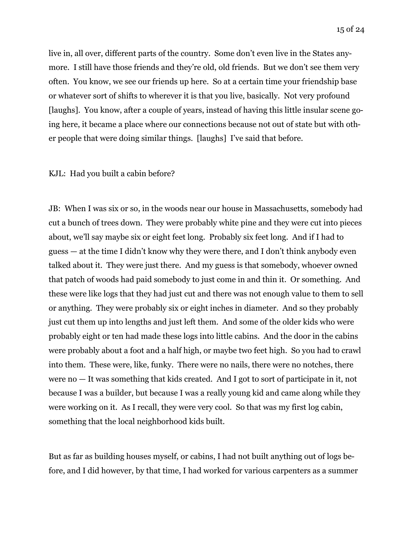live in, all over, different parts of the country. Some don't even live in the States anymore. I still have those friends and they're old, old friends. But we don't see them very often. You know, we see our friends up here. So at a certain time your friendship base or whatever sort of shifts to wherever it is that you live, basically. Not very profound [laughs]. You know, after a couple of years, instead of having this little insular scene going here, it became a place where our connections because not out of state but with other people that were doing similar things. [laughs] I've said that before.

## KJL: Had you built a cabin before?

JB: When I was six or so, in the woods near our house in Massachusetts, somebody had cut a bunch of trees down. They were probably white pine and they were cut into pieces about, we'll say maybe six or eight feet long. Probably six feet long. And if I had to guess — at the time I didn't know why they were there, and I don't think anybody even talked about it. They were just there. And my guess is that somebody, whoever owned that patch of woods had paid somebody to just come in and thin it. Or something. And these were like logs that they had just cut and there was not enough value to them to sell or anything. They were probably six or eight inches in diameter. And so they probably just cut them up into lengths and just left them. And some of the older kids who were probably eight or ten had made these logs into little cabins. And the door in the cabins were probably about a foot and a half high, or maybe two feet high. So you had to crawl into them. These were, like, funky. There were no nails, there were no notches, there were no — It was something that kids created. And I got to sort of participate in it, not because I was a builder, but because I was a really young kid and came along while they were working on it. As I recall, they were very cool. So that was my first log cabin, something that the local neighborhood kids built.

But as far as building houses myself, or cabins, I had not built anything out of logs before, and I did however, by that time, I had worked for various carpenters as a summer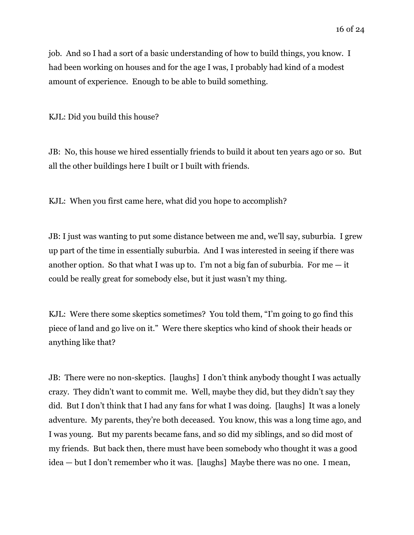job. And so I had a sort of a basic understanding of how to build things, you know. I had been working on houses and for the age I was, I probably had kind of a modest amount of experience. Enough to be able to build something.

KJL: Did you build this house?

JB: No, this house we hired essentially friends to build it about ten years ago or so. But all the other buildings here I built or I built with friends.

KJL: When you first came here, what did you hope to accomplish?

JB: I just was wanting to put some distance between me and, we'll say, suburbia. I grew up part of the time in essentially suburbia. And I was interested in seeing if there was another option. So that what I was up to. I'm not a big fan of suburbia. For me  $-$  it could be really great for somebody else, but it just wasn't my thing.

KJL: Were there some skeptics sometimes? You told them, "I'm going to go find this piece of land and go live on it." Were there skeptics who kind of shook their heads or anything like that?

JB: There were no non-skeptics. [laughs] I don't think anybody thought I was actually crazy. They didn't want to commit me. Well, maybe they did, but they didn't say they did. But I don't think that I had any fans for what I was doing. [laughs] It was a lonely adventure. My parents, they're both deceased. You know, this was a long time ago, and I was young. But my parents became fans, and so did my siblings, and so did most of my friends. But back then, there must have been somebody who thought it was a good idea — but I don't remember who it was. [laughs] Maybe there was no one. I mean,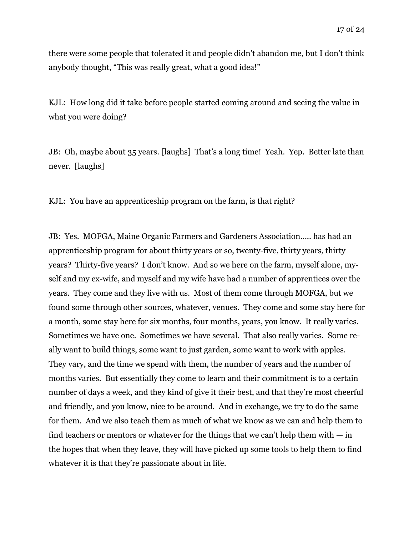there were some people that tolerated it and people didn't abandon me, but I don't think anybody thought, "This was really great, what a good idea!"

KJL: How long did it take before people started coming around and seeing the value in what you were doing?

JB: Oh, maybe about 35 years. [laughs] That's a long time! Yeah. Yep. Better late than never. [laughs]

KJL: You have an apprenticeship program on the farm, is that right?

JB: Yes. MOFGA, Maine Organic Farmers and Gardeners Association….. has had an apprenticeship program for about thirty years or so, twenty-five, thirty years, thirty years? Thirty-five years? I don't know. And so we here on the farm, myself alone, myself and my ex-wife, and myself and my wife have had a number of apprentices over the years. They come and they live with us. Most of them come through MOFGA, but we found some through other sources, whatever, venues. They come and some stay here for a month, some stay here for six months, four months, years, you know. It really varies. Sometimes we have one. Sometimes we have several. That also really varies. Some really want to build things, some want to just garden, some want to work with apples. They vary, and the time we spend with them, the number of years and the number of months varies. But essentially they come to learn and their commitment is to a certain number of days a week, and they kind of give it their best, and that they're most cheerful and friendly, and you know, nice to be around. And in exchange, we try to do the same for them. And we also teach them as much of what we know as we can and help them to find teachers or mentors or whatever for the things that we can't help them with  $-$  in the hopes that when they leave, they will have picked up some tools to help them to find whatever it is that they're passionate about in life.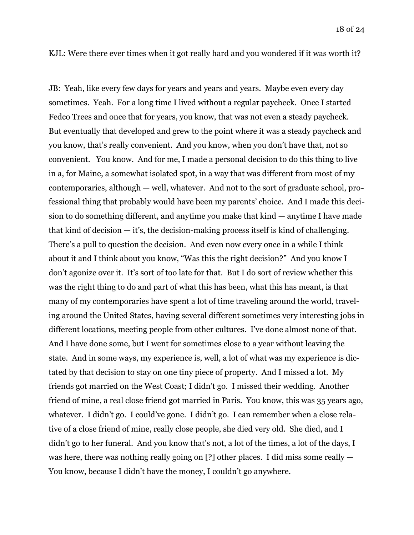KJL: Were there ever times when it got really hard and you wondered if it was worth it?

JB: Yeah, like every few days for years and years and years. Maybe even every day sometimes. Yeah. For a long time I lived without a regular paycheck. Once I started Fedco Trees and once that for years, you know, that was not even a steady paycheck. But eventually that developed and grew to the point where it was a steady paycheck and you know, that's really convenient. And you know, when you don't have that, not so convenient. You know. And for me, I made a personal decision to do this thing to live in a, for Maine, a somewhat isolated spot, in a way that was different from most of my contemporaries, although — well, whatever. And not to the sort of graduate school, professional thing that probably would have been my parents' choice. And I made this decision to do something different, and anytime you make that kind — anytime I have made that kind of decision  $-$  it's, the decision-making process itself is kind of challenging. There's a pull to question the decision. And even now every once in a while I think about it and I think about you know, "Was this the right decision?" And you know I don't agonize over it. It's sort of too late for that. But I do sort of review whether this was the right thing to do and part of what this has been, what this has meant, is that many of my contemporaries have spent a lot of time traveling around the world, traveling around the United States, having several different sometimes very interesting jobs in different locations, meeting people from other cultures. I've done almost none of that. And I have done some, but I went for sometimes close to a year without leaving the state. And in some ways, my experience is, well, a lot of what was my experience is dictated by that decision to stay on one tiny piece of property. And I missed a lot. My friends got married on the West Coast; I didn't go. I missed their wedding. Another friend of mine, a real close friend got married in Paris. You know, this was 35 years ago, whatever. I didn't go. I could've gone. I didn't go. I can remember when a close relative of a close friend of mine, really close people, she died very old. She died, and I didn't go to her funeral. And you know that's not, a lot of the times, a lot of the days, I was here, there was nothing really going on [?] other places. I did miss some really  $-$ You know, because I didn't have the money, I couldn't go anywhere.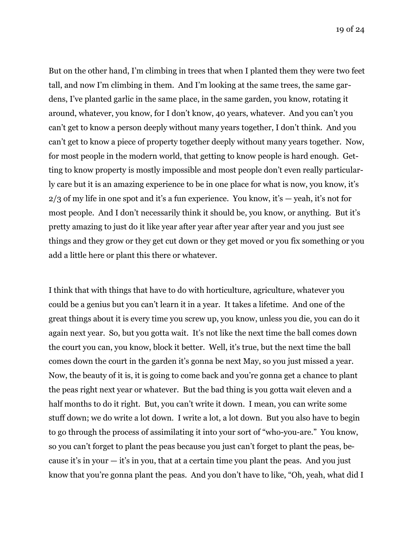But on the other hand, I'm climbing in trees that when I planted them they were two feet tall, and now I'm climbing in them. And I'm looking at the same trees, the same gardens, I've planted garlic in the same place, in the same garden, you know, rotating it around, whatever, you know, for I don't know, 40 years, whatever. And you can't you can't get to know a person deeply without many years together, I don't think. And you can't get to know a piece of property together deeply without many years together. Now, for most people in the modern world, that getting to know people is hard enough. Getting to know property is mostly impossible and most people don't even really particularly care but it is an amazing experience to be in one place for what is now, you know, it's  $2/3$  of my life in one spot and it's a fun experience. You know, it's  $-$  yeah, it's not for most people. And I don't necessarily think it should be, you know, or anything. But it's pretty amazing to just do it like year after year after year after year and you just see things and they grow or they get cut down or they get moved or you fix something or you add a little here or plant this there or whatever.

I think that with things that have to do with horticulture, agriculture, whatever you could be a genius but you can't learn it in a year. It takes a lifetime. And one of the great things about it is every time you screw up, you know, unless you die, you can do it again next year. So, but you gotta wait. It's not like the next time the ball comes down the court you can, you know, block it better. Well, it's true, but the next time the ball comes down the court in the garden it's gonna be next May, so you just missed a year. Now, the beauty of it is, it is going to come back and you're gonna get a chance to plant the peas right next year or whatever. But the bad thing is you gotta wait eleven and a half months to do it right. But, you can't write it down. I mean, you can write some stuff down; we do write a lot down. I write a lot, a lot down. But you also have to begin to go through the process of assimilating it into your sort of "who-you-are." You know, so you can't forget to plant the peas because you just can't forget to plant the peas, because it's in your  $-$  it's in you, that at a certain time you plant the peas. And you just know that you're gonna plant the peas. And you don't have to like, "Oh, yeah, what did I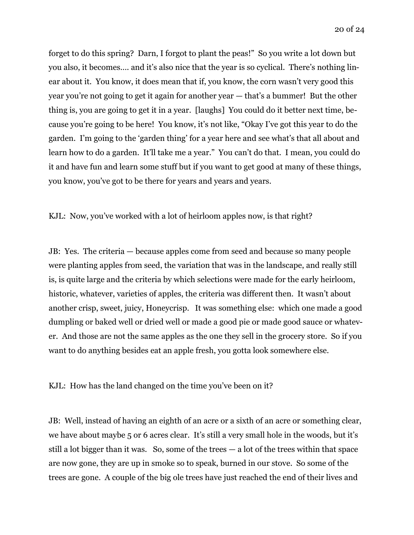forget to do this spring? Darn, I forgot to plant the peas!" So you write a lot down but you also, it becomes…. and it's also nice that the year is so cyclical. There's nothing linear about it. You know, it does mean that if, you know, the corn wasn't very good this year you're not going to get it again for another year — that's a bummer! But the other thing is, you are going to get it in a year. [laughs] You could do it better next time, because you're going to be here! You know, it's not like, "Okay I've got this year to do the garden. I'm going to the 'garden thing' for a year here and see what's that all about and learn how to do a garden. It'll take me a year." You can't do that. I mean, you could do it and have fun and learn some stuff but if you want to get good at many of these things, you know, you've got to be there for years and years and years.

KJL: Now, you've worked with a lot of heirloom apples now, is that right?

JB: Yes. The criteria — because apples come from seed and because so many people were planting apples from seed, the variation that was in the landscape, and really still is, is quite large and the criteria by which selections were made for the early heirloom, historic, whatever, varieties of apples, the criteria was different then. It wasn't about another crisp, sweet, juicy, Honeycrisp. It was something else: which one made a good dumpling or baked well or dried well or made a good pie or made good sauce or whatever. And those are not the same apples as the one they sell in the grocery store. So if you want to do anything besides eat an apple fresh, you gotta look somewhere else.

KJL: How has the land changed on the time you've been on it?

JB: Well, instead of having an eighth of an acre or a sixth of an acre or something clear, we have about maybe 5 or 6 acres clear. It's still a very small hole in the woods, but it's still a lot bigger than it was. So, some of the trees  $-$  a lot of the trees within that space are now gone, they are up in smoke so to speak, burned in our stove. So some of the trees are gone. A couple of the big ole trees have just reached the end of their lives and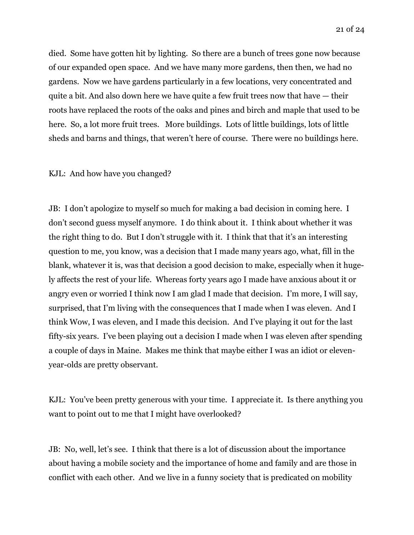died. Some have gotten hit by lighting. So there are a bunch of trees gone now because of our expanded open space. And we have many more gardens, then then, we had no gardens. Now we have gardens particularly in a few locations, very concentrated and quite a bit. And also down here we have quite a few fruit trees now that have — their roots have replaced the roots of the oaks and pines and birch and maple that used to be here. So, a lot more fruit trees. More buildings. Lots of little buildings, lots of little sheds and barns and things, that weren't here of course. There were no buildings here.

## KJL: And how have you changed?

JB: I don't apologize to myself so much for making a bad decision in coming here. I don't second guess myself anymore. I do think about it. I think about whether it was the right thing to do. But I don't struggle with it. I think that that it's an interesting question to me, you know, was a decision that I made many years ago, what, fill in the blank, whatever it is, was that decision a good decision to make, especially when it hugely affects the rest of your life. Whereas forty years ago I made have anxious about it or angry even or worried I think now I am glad I made that decision. I'm more, I will say, surprised, that I'm living with the consequences that I made when I was eleven. And I think Wow, I was eleven, and I made this decision. And I've playing it out for the last fifty-six years. I've been playing out a decision I made when I was eleven after spending a couple of days in Maine. Makes me think that maybe either I was an idiot or elevenyear-olds are pretty observant.

KJL: You've been pretty generous with your time. I appreciate it. Is there anything you want to point out to me that I might have overlooked?

JB: No, well, let's see. I think that there is a lot of discussion about the importance about having a mobile society and the importance of home and family and are those in conflict with each other. And we live in a funny society that is predicated on mobility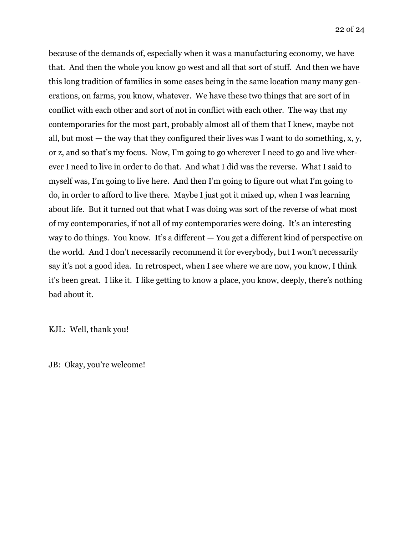because of the demands of, especially when it was a manufacturing economy, we have that. And then the whole you know go west and all that sort of stuff. And then we have this long tradition of families in some cases being in the same location many many generations, on farms, you know, whatever. We have these two things that are sort of in conflict with each other and sort of not in conflict with each other. The way that my contemporaries for the most part, probably almost all of them that I knew, maybe not all, but most  $-$  the way that they configured their lives was I want to do something, x, y, or z, and so that's my focus. Now, I'm going to go wherever I need to go and live wherever I need to live in order to do that. And what I did was the reverse. What I said to myself was, I'm going to live here. And then I'm going to figure out what I'm going to do, in order to afford to live there. Maybe I just got it mixed up, when I was learning about life. But it turned out that what I was doing was sort of the reverse of what most of my contemporaries, if not all of my contemporaries were doing. It's an interesting way to do things. You know. It's a different  $-$  You get a different kind of perspective on the world. And I don't necessarily recommend it for everybody, but I won't necessarily say it's not a good idea. In retrospect, when I see where we are now, you know, I think it's been great. I like it. I like getting to know a place, you know, deeply, there's nothing bad about it.

KJL: Well, thank you!

JB: Okay, you're welcome!